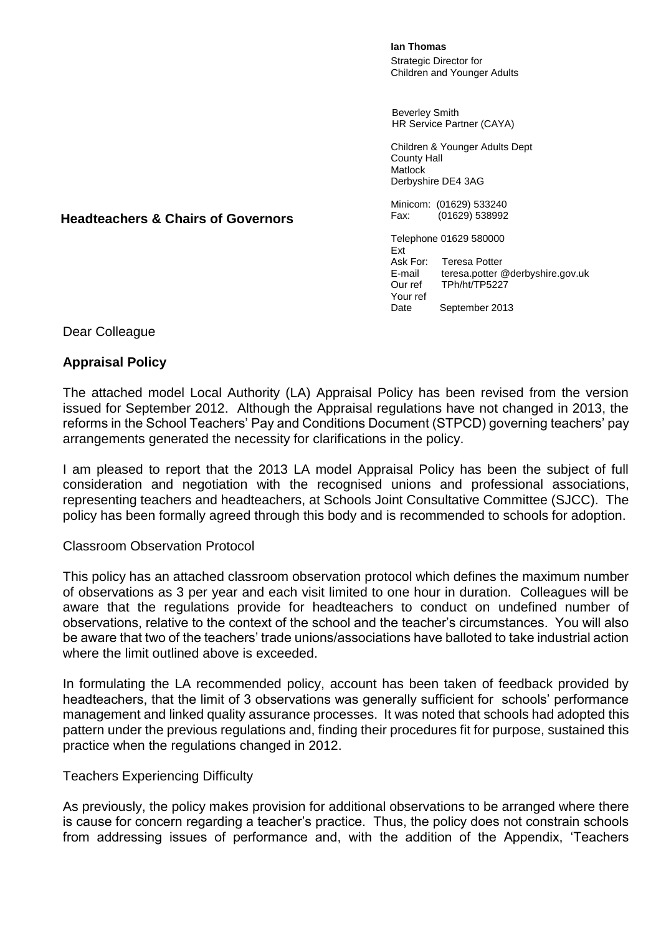**Ian Thomas** Strategic Director for Children and Younger Adults

 Beverley Smith HR Service Partner (CAYA)

Children & Younger Adults Dept County Hall Matlock Derbyshire DE4 3AG

Minicom: (01629) 533240<br>Fax: (01629) 538992  $(01629)$  538992

Telephone 01629 580000 Ext<br>Ask For: **Teresa Potter** E-mail teresa.potter @derbyshire.gov.uk Our ref TPh/ht/TP5227 Your ref Date September 2013

**Headteachers & Chairs of Governors**

Dear Colleague

## **Appraisal Policy**

The attached model Local Authority (LA) Appraisal Policy has been revised from the version issued for September 2012. Although the Appraisal regulations have not changed in 2013, the reforms in the School Teachers' Pay and Conditions Document (STPCD) governing teachers' pay arrangements generated the necessity for clarifications in the policy.

I am pleased to report that the 2013 LA model Appraisal Policy has been the subject of full consideration and negotiation with the recognised unions and professional associations, representing teachers and headteachers, at Schools Joint Consultative Committee (SJCC). The policy has been formally agreed through this body and is recommended to schools for adoption.

## Classroom Observation Protocol

This policy has an attached classroom observation protocol which defines the maximum number of observations as 3 per year and each visit limited to one hour in duration. Colleagues will be aware that the regulations provide for headteachers to conduct on undefined number of observations, relative to the context of the school and the teacher's circumstances. You will also be aware that two of the teachers' trade unions/associations have balloted to take industrial action where the limit outlined above is exceeded.

In formulating the LA recommended policy, account has been taken of feedback provided by headteachers, that the limit of 3 observations was generally sufficient for schools' performance management and linked quality assurance processes. It was noted that schools had adopted this pattern under the previous regulations and, finding their procedures fit for purpose, sustained this practice when the regulations changed in 2012.

## Teachers Experiencing Difficulty

As previously, the policy makes provision for additional observations to be arranged where there is cause for concern regarding a teacher's practice. Thus, the policy does not constrain schools from addressing issues of performance and, with the addition of the Appendix, 'Teachers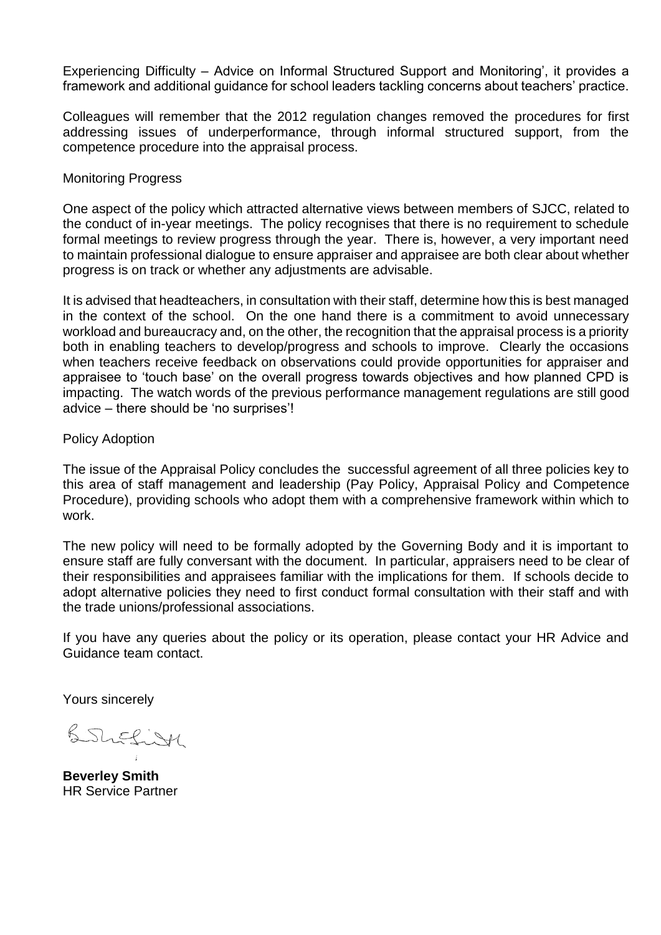Experiencing Difficulty – Advice on Informal Structured Support and Monitoring', it provides a framework and additional guidance for school leaders tackling concerns about teachers' practice.

Colleagues will remember that the 2012 regulation changes removed the procedures for first addressing issues of underperformance, through informal structured support, from the competence procedure into the appraisal process.

#### Monitoring Progress

One aspect of the policy which attracted alternative views between members of SJCC, related to the conduct of in-year meetings. The policy recognises that there is no requirement to schedule formal meetings to review progress through the year. There is, however, a very important need to maintain professional dialogue to ensure appraiser and appraisee are both clear about whether progress is on track or whether any adjustments are advisable.

It is advised that headteachers, in consultation with their staff, determine how this is best managed in the context of the school. On the one hand there is a commitment to avoid unnecessary workload and bureaucracy and, on the other, the recognition that the appraisal process is a priority both in enabling teachers to develop/progress and schools to improve. Clearly the occasions when teachers receive feedback on observations could provide opportunities for appraiser and appraisee to 'touch base' on the overall progress towards objectives and how planned CPD is impacting. The watch words of the previous performance management regulations are still good advice – there should be 'no surprises'!

#### Policy Adoption

The issue of the Appraisal Policy concludes the successful agreement of all three policies key to this area of staff management and leadership (Pay Policy, Appraisal Policy and Competence Procedure), providing schools who adopt them with a comprehensive framework within which to work.

The new policy will need to be formally adopted by the Governing Body and it is important to ensure staff are fully conversant with the document. In particular, appraisers need to be clear of their responsibilities and appraisees familiar with the implications for them. If schools decide to adopt alternative policies they need to first conduct formal consultation with their staff and with the trade unions/professional associations.

If you have any queries about the policy or its operation, please contact your HR Advice and Guidance team contact.

Yours sincerely

British

**Beverley Smith** HR Service Partner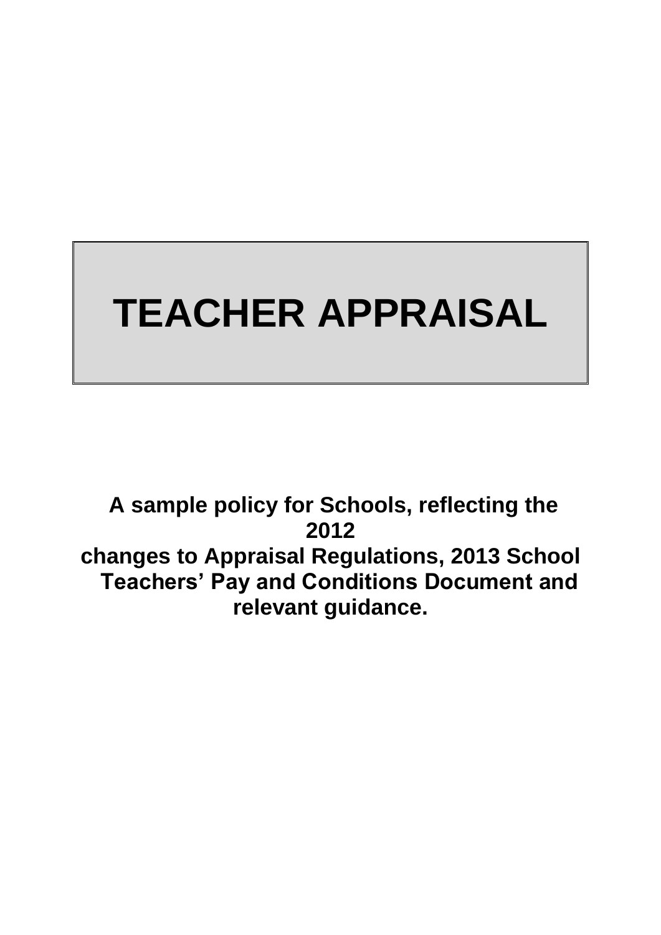# **TEACHER APPRAISAL**

**A sample policy for Schools, reflecting the 2012 changes to Appraisal Regulations, 2013 School Teachers' Pay and Conditions Document and relevant guidance.**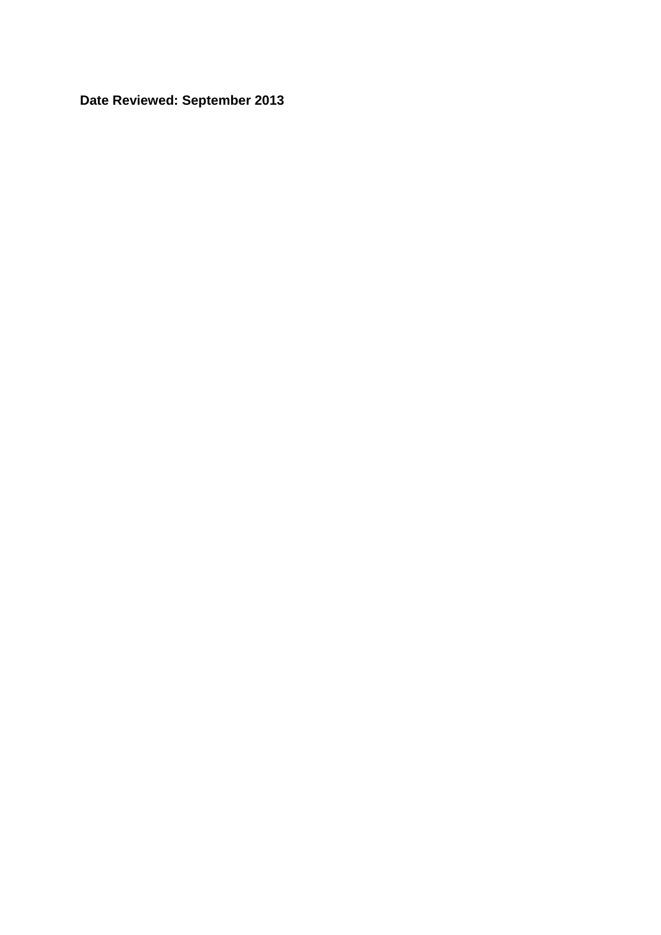**Date Reviewed: September 2013**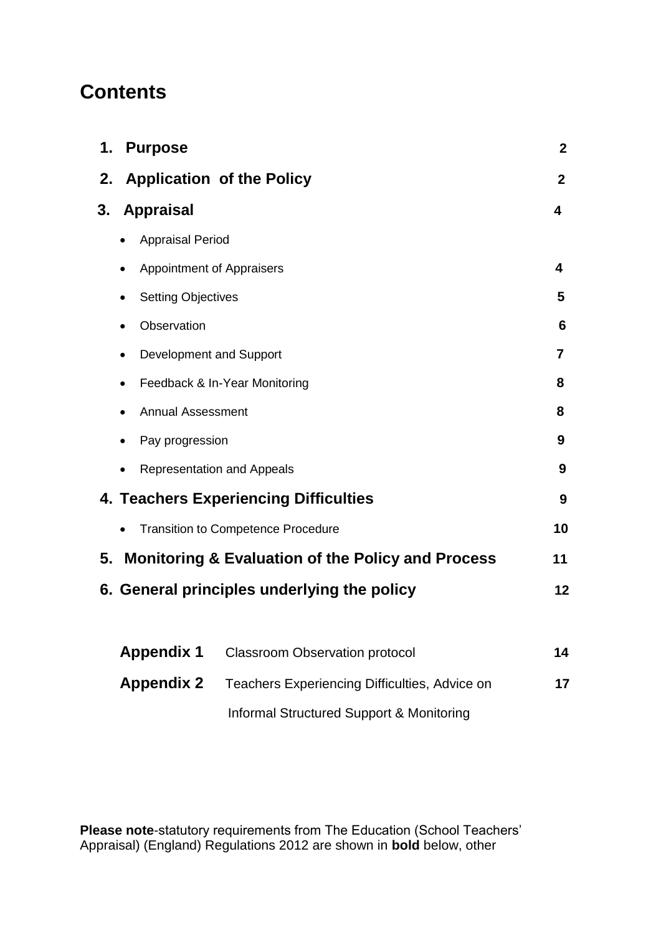# **Contents**

| 1.<br><b>Purpose</b>                                               | $\mathbf{2}$            |
|--------------------------------------------------------------------|-------------------------|
| <b>Application of the Policy</b><br>2.                             | $\overline{2}$          |
| <b>Appraisal</b><br>3.                                             | $\overline{\mathbf{4}}$ |
| <b>Appraisal Period</b><br>$\bullet$                               |                         |
| Appointment of Appraisers<br>$\bullet$                             | 4                       |
| <b>Setting Objectives</b><br>$\bullet$                             | 5                       |
| Observation<br>$\bullet$                                           | 6                       |
| Development and Support<br>$\bullet$                               | $\overline{\mathbf{z}}$ |
| Feedback & In-Year Monitoring<br>$\bullet$                         | 8                       |
| <b>Annual Assessment</b>                                           | 8                       |
| Pay progression<br>$\bullet$                                       | 9                       |
| <b>Representation and Appeals</b><br>$\bullet$                     | 9                       |
| 4. Teachers Experiencing Difficulties                              | 9                       |
| <b>Transition to Competence Procedure</b>                          | 10                      |
| <b>Monitoring &amp; Evaluation of the Policy and Process</b><br>5. | 11                      |
| 6. General principles underlying the policy                        | 12                      |
|                                                                    |                         |
| <b>Appendix 1</b><br><b>Classroom Observation protocol</b>         | 14                      |
| <b>Appendix 2</b><br>Teachers Experiencing Difficulties, Advice on | 17                      |

Informal Structured Support & Monitoring

**Please note**-statutory requirements from The Education (School Teachers' Appraisal) (England) Regulations 2012 are shown in **bold** below, other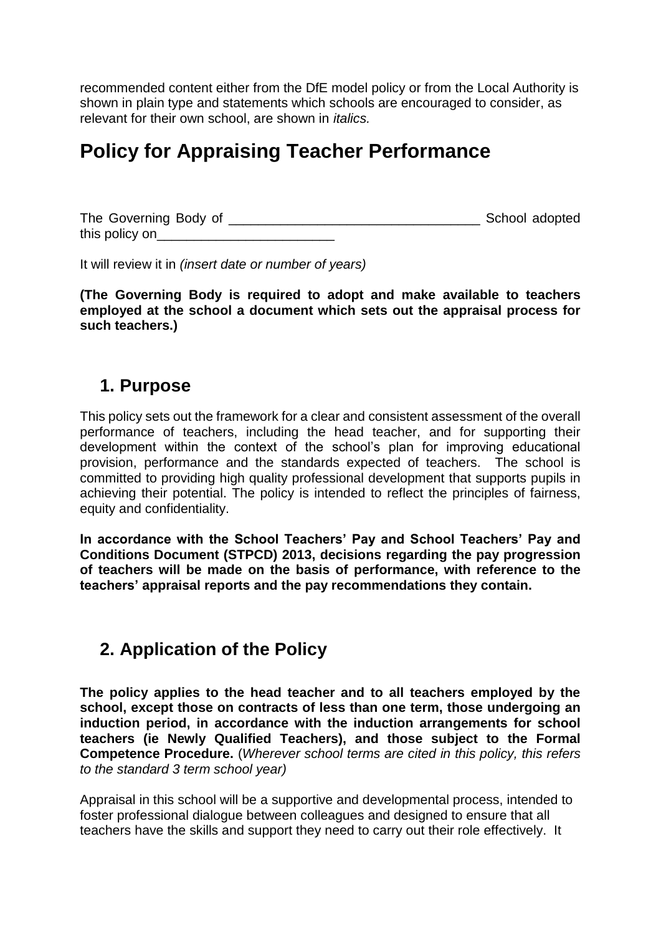recommended content either from the DfE model policy or from the Local Authority is shown in plain type and statements which schools are encouraged to consider, as relevant for their own school, are shown in *italics.*

# **Policy for Appraising Teacher Performance**

The Governing Body of \_\_\_\_\_\_\_\_\_\_\_\_\_\_\_\_\_\_\_\_\_\_\_\_\_\_\_\_\_\_\_\_\_\_ School adopted this policy on\_\_\_\_\_\_\_\_\_\_\_\_\_\_\_\_\_\_\_\_\_\_\_\_

It will review it in *(insert date or number of years)*

**(The Governing Body is required to adopt and make available to teachers employed at the school a document which sets out the appraisal process for such teachers.)**

## **1. Purpose**

This policy sets out the framework for a clear and consistent assessment of the overall performance of teachers, including the head teacher, and for supporting their development within the context of the school's plan for improving educational provision, performance and the standards expected of teachers. The school is committed to providing high quality professional development that supports pupils in achieving their potential. The policy is intended to reflect the principles of fairness, equity and confidentiality.

**In accordance with the School Teachers' Pay and School Teachers' Pay and Conditions Document (STPCD) 2013, decisions regarding the pay progression of teachers will be made on the basis of performance, with reference to the teachers' appraisal reports and the pay recommendations they contain.**

## **2. Application of the Policy**

**The policy applies to the head teacher and to all teachers employed by the school, except those on contracts of less than one term, those undergoing an induction period, in accordance with the induction arrangements for school teachers (ie Newly Qualified Teachers), and those subject to the Formal Competence Procedure.** (*Wherever school terms are cited in this policy, this refers to the standard 3 term school year)*

Appraisal in this school will be a supportive and developmental process, intended to foster professional dialogue between colleagues and designed to ensure that all teachers have the skills and support they need to carry out their role effectively. It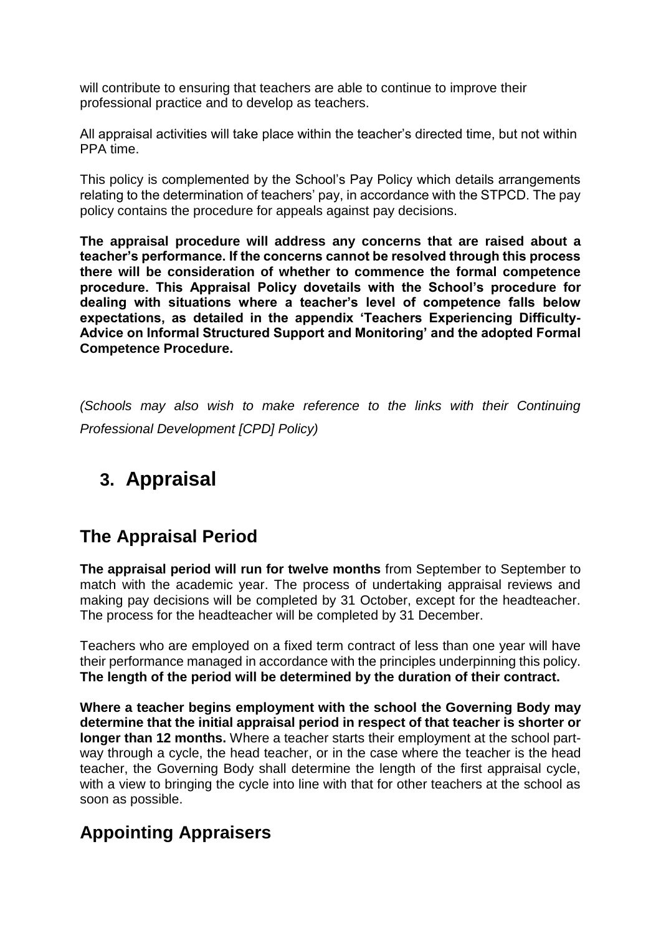will contribute to ensuring that teachers are able to continue to improve their professional practice and to develop as teachers.

All appraisal activities will take place within the teacher's directed time, but not within PPA time.

This policy is complemented by the School's Pay Policy which details arrangements relating to the determination of teachers' pay, in accordance with the STPCD. The pay policy contains the procedure for appeals against pay decisions.

**The appraisal procedure will address any concerns that are raised about a teacher's performance. If the concerns cannot be resolved through this process there will be consideration of whether to commence the formal competence procedure. This Appraisal Policy dovetails with the School's procedure for dealing with situations where a teacher's level of competence falls below expectations, as detailed in the appendix 'Teachers Experiencing Difficulty-Advice on Informal Structured Support and Monitoring' and the adopted Formal Competence Procedure.**

*(Schools may also wish to make reference to the links with their Continuing Professional Development [CPD] Policy)*

# **3. Appraisal**

# **The Appraisal Period**

**The appraisal period will run for twelve months** from September to September to match with the academic year. The process of undertaking appraisal reviews and making pay decisions will be completed by 31 October, except for the headteacher. The process for the headteacher will be completed by 31 December.

Teachers who are employed on a fixed term contract of less than one year will have their performance managed in accordance with the principles underpinning this policy. **The length of the period will be determined by the duration of their contract.** 

**Where a teacher begins employment with the school the Governing Body may determine that the initial appraisal period in respect of that teacher is shorter or longer than 12 months.** Where a teacher starts their employment at the school partway through a cycle, the head teacher, or in the case where the teacher is the head teacher, the Governing Body shall determine the length of the first appraisal cycle, with a view to bringing the cycle into line with that for other teachers at the school as soon as possible.

# **Appointing Appraisers**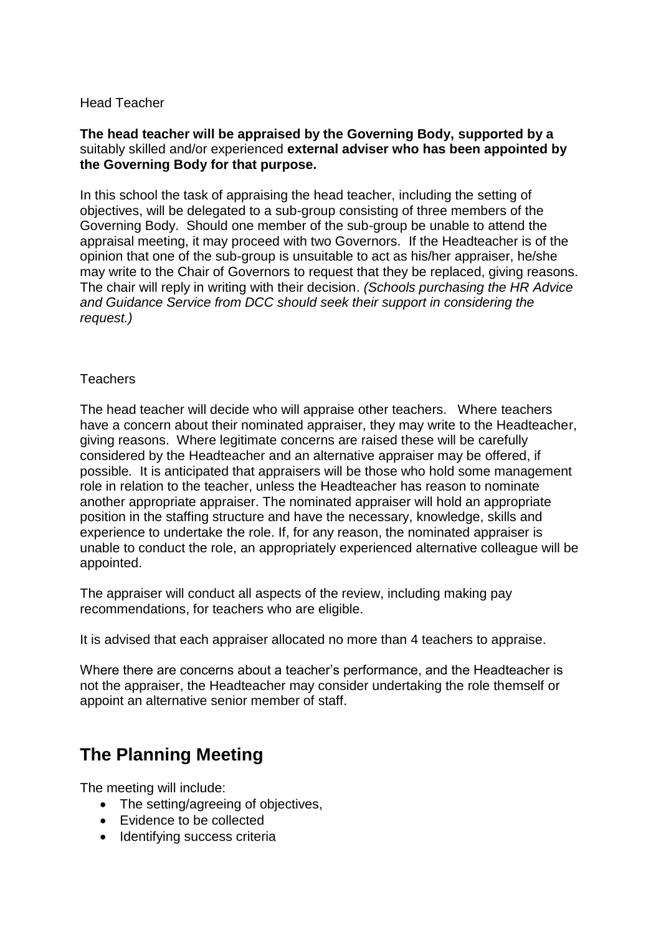## Head Teacher

### **The head teacher will be appraised by the Governing Body, supported by a**  suitably skilled and/or experienced **external adviser who has been appointed by the Governing Body for that purpose.**

In this school the task of appraising the head teacher, including the setting of objectives, will be delegated to a sub-group consisting of three members of the Governing Body. Should one member of the sub-group be unable to attend the appraisal meeting, it may proceed with two Governors. If the Headteacher is of the opinion that one of the sub-group is unsuitable to act as his/her appraiser, he/she may write to the Chair of Governors to request that they be replaced, giving reasons. The chair will reply in writing with their decision. *(Schools purchasing the HR Advice and Guidance Service from DCC should seek their support in considering the request.)*

## **Teachers**

The head teacher will decide who will appraise other teachers. Where teachers have a concern about their nominated appraiser, they may write to the Headteacher, giving reasons. Where legitimate concerns are raised these will be carefully considered by the Headteacher and an alternative appraiser may be offered, if possible*.* It is anticipated that appraisers will be those who hold some management role in relation to the teacher, unless the Headteacher has reason to nominate another appropriate appraiser. The nominated appraiser will hold an appropriate position in the staffing structure and have the necessary, knowledge, skills and experience to undertake the role. If, for any reason, the nominated appraiser is unable to conduct the role, an appropriately experienced alternative colleague will be appointed.

The appraiser will conduct all aspects of the review, including making pay recommendations, for teachers who are eligible.

It is advised that each appraiser allocated no more than 4 teachers to appraise.

Where there are concerns about a teacher's performance, and the Headteacher is not the appraiser, the Headteacher may consider undertaking the role themself or appoint an alternative senior member of staff.

# **The Planning Meeting**

The meeting will include:

- The setting/agreeing of objectives,
- Evidence to be collected
- Identifying success criteria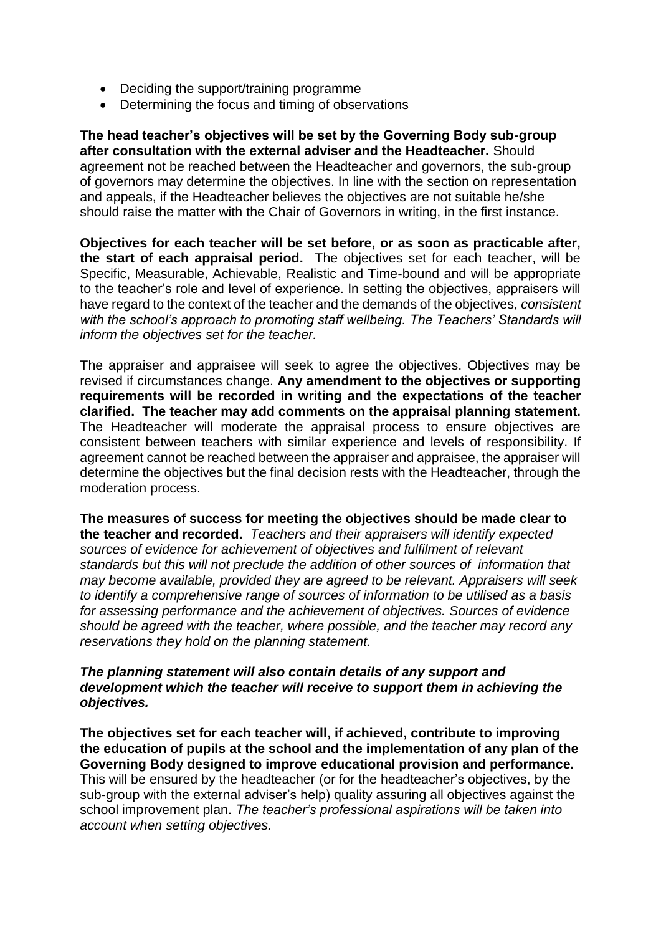- Deciding the support/training programme
- Determining the focus and timing of observations

**The head teacher's objectives will be set by the Governing Body sub-group after consultation with the external adviser and the Headteacher.** Should agreement not be reached between the Headteacher and governors, the sub-group of governors may determine the objectives. In line with the section on representation and appeals, if the Headteacher believes the objectives are not suitable he/she should raise the matter with the Chair of Governors in writing, in the first instance.

**Objectives for each teacher will be set before, or as soon as practicable after, the start of each appraisal period.** The objectives set for each teacher, will be Specific, Measurable, Achievable, Realistic and Time-bound and will be appropriate to the teacher's role and level of experience. In setting the objectives, appraisers will have regard to the context of the teacher and the demands of the objectives, *consistent with the school's approach to promoting staff wellbeing. The Teachers' Standards will inform the objectives set for the teacher.*

The appraiser and appraisee will seek to agree the objectives. Objectives may be revised if circumstances change. **Any amendment to the objectives or supporting requirements will be recorded in writing and the expectations of the teacher clarified. The teacher may add comments on the appraisal planning statement.**  The Headteacher will moderate the appraisal process to ensure objectives are consistent between teachers with similar experience and levels of responsibility. If agreement cannot be reached between the appraiser and appraisee, the appraiser will determine the objectives but the final decision rests with the Headteacher, through the moderation process.

**The measures of success for meeting the objectives should be made clear to the teacher and recorded.** *Teachers and their appraisers will identify expected sources of evidence for achievement of objectives and fulfilment of relevant standards but this will not preclude the addition of other sources of information that may become available, provided they are agreed to be relevant. Appraisers will seek to identify a comprehensive range of sources of information to be utilised as a basis for assessing performance and the achievement of objectives. Sources of evidence should be agreed with the teacher, where possible, and the teacher may record any reservations they hold on the planning statement.* 

#### *The planning statement will also contain details of any support and development which the teacher will receive to support them in achieving the objectives.*

**The objectives set for each teacher will, if achieved, contribute to improving the education of pupils at the school and the implementation of any plan of the Governing Body designed to improve educational provision and performance.**  This will be ensured by the headteacher (or for the headteacher's objectives, by the sub-group with the external adviser's help) quality assuring all objectives against the school improvement plan. *The teacher's professional aspirations will be taken into account when setting objectives.*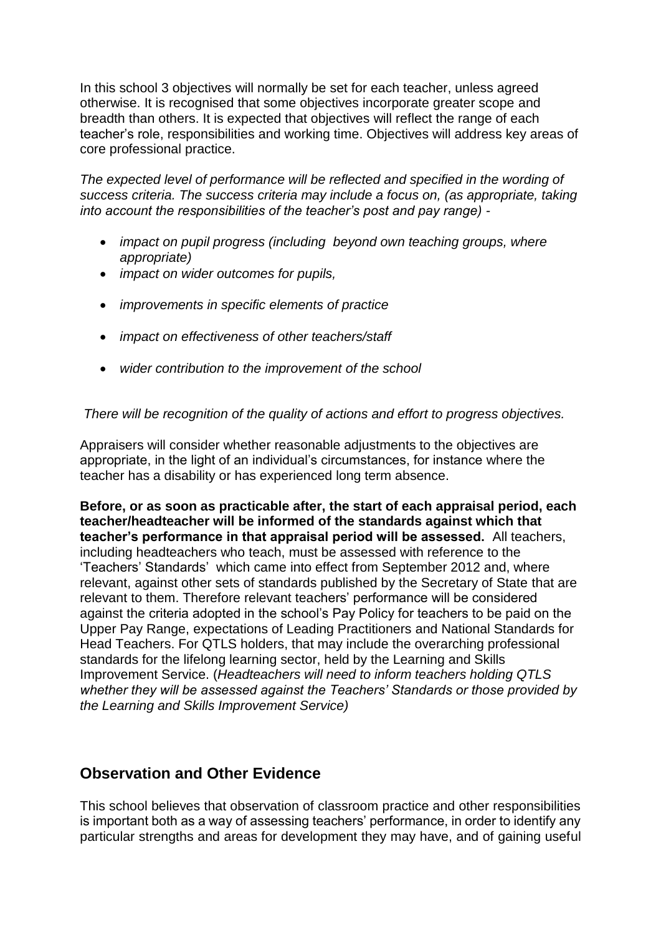In this school 3 objectives will normally be set for each teacher, unless agreed otherwise. It is recognised that some objectives incorporate greater scope and breadth than others. It is expected that objectives will reflect the range of each teacher's role, responsibilities and working time. Objectives will address key areas of core professional practice.

*The expected level of performance will be reflected and specified in the wording of success criteria. The success criteria may include a focus on, (as appropriate, taking into account the responsibilities of the teacher's post and pay range) -*

- *impact on pupil progress (including beyond own teaching groups, where appropriate)*
- *impact on wider outcomes for pupils,*
- *improvements in specific elements of practice*
- *impact on effectiveness of other teachers/staff*
- *wider contribution to the improvement of the school*

## *There will be recognition of the quality of actions and effort to progress objectives.*

Appraisers will consider whether reasonable adjustments to the objectives are appropriate, in the light of an individual's circumstances, for instance where the teacher has a disability or has experienced long term absence.

**Before, or as soon as practicable after, the start of each appraisal period, each teacher/headteacher will be informed of the standards against which that teacher's performance in that appraisal period will be assessed.** All teachers, including headteachers who teach, must be assessed with reference to the 'Teachers' Standards' which came into effect from September 2012 and, where relevant, against other sets of standards published by the Secretary of State that are relevant to them. Therefore relevant teachers' performance will be considered against the criteria adopted in the school's Pay Policy for teachers to be paid on the Upper Pay Range, expectations of Leading Practitioners and National Standards for Head Teachers. For QTLS holders, that may include the overarching professional standards for the lifelong learning sector, held by the Learning and Skills Improvement Service. (*Headteachers will need to inform teachers holding QTLS whether they will be assessed against the Teachers' Standards or those provided by the Learning and Skills Improvement Service)*

## **Observation and Other Evidence**

This school believes that observation of classroom practice and other responsibilities is important both as a way of assessing teachers' performance, in order to identify any particular strengths and areas for development they may have, and of gaining useful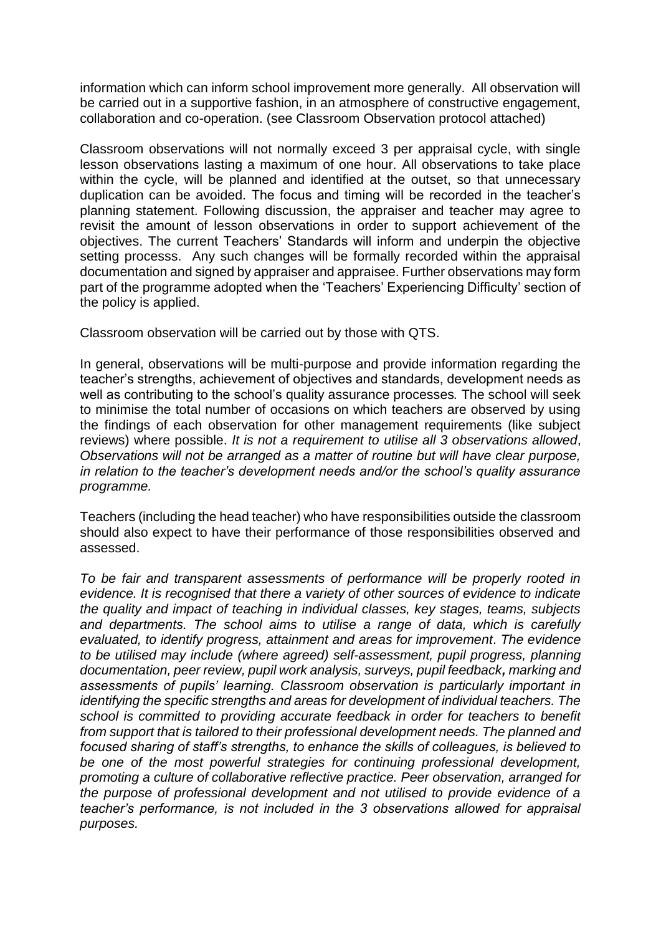information which can inform school improvement more generally. All observation will be carried out in a supportive fashion, in an atmosphere of constructive engagement, collaboration and co-operation. (see Classroom Observation protocol attached)

Classroom observations will not normally exceed 3 per appraisal cycle, with single lesson observations lasting a maximum of one hour. All observations to take place within the cycle, will be planned and identified at the outset, so that unnecessary duplication can be avoided. The focus and timing will be recorded in the teacher's planning statement. Following discussion, the appraiser and teacher may agree to revisit the amount of lesson observations in order to support achievement of the objectives. The current Teachers' Standards will inform and underpin the objective setting processs. Any such changes will be formally recorded within the appraisal documentation and signed by appraiser and appraisee. Further observations may form part of the programme adopted when the 'Teachers' Experiencing Difficulty' section of the policy is applied.

Classroom observation will be carried out by those with QTS.

In general, observations will be multi-purpose and provide information regarding the teacher's strengths, achievement of objectives and standards, development needs as well as contributing to the school's quality assurance processes*.* The school will seek to minimise the total number of occasions on which teachers are observed by using the findings of each observation for other management requirements (like subject reviews) where possible. *It is not a requirement to utilise all 3 observations allowed*, *Observations will not be arranged as a matter of routine but will have clear purpose, in relation to the teacher's development needs and/or the school's quality assurance programme.*

Teachers (including the head teacher) who have responsibilities outside the classroom should also expect to have their performance of those responsibilities observed and assessed.

*To be fair and transparent assessments of performance will be properly rooted in evidence. It is recognised that there a variety of other sources of evidence to indicate the quality and impact of teaching in individual classes, key stages, teams, subjects and departments. The school aims to utilise a range of data, which is carefully evaluated, to identify progress, attainment and areas for improvement*. *The evidence to be utilised may include (where agreed) self-assessment, pupil progress, planning documentation, peer review, pupil work analysis, surveys, pupil feedback, marking and assessments of pupils' learning. Classroom observation is particularly important in identifying the specific strengths and areas for development of individual teachers. The school is committed to providing accurate feedback in order for teachers to benefit from support that is tailored to their professional development needs. The planned and focused sharing of staff's strengths, to enhance the skills of colleagues, is believed to be one of the most powerful strategies for continuing professional development, promoting a culture of collaborative reflective practice. Peer observation, arranged for the purpose of professional development and not utilised to provide evidence of a teacher's performance, is not included in the 3 observations allowed for appraisal purposes.*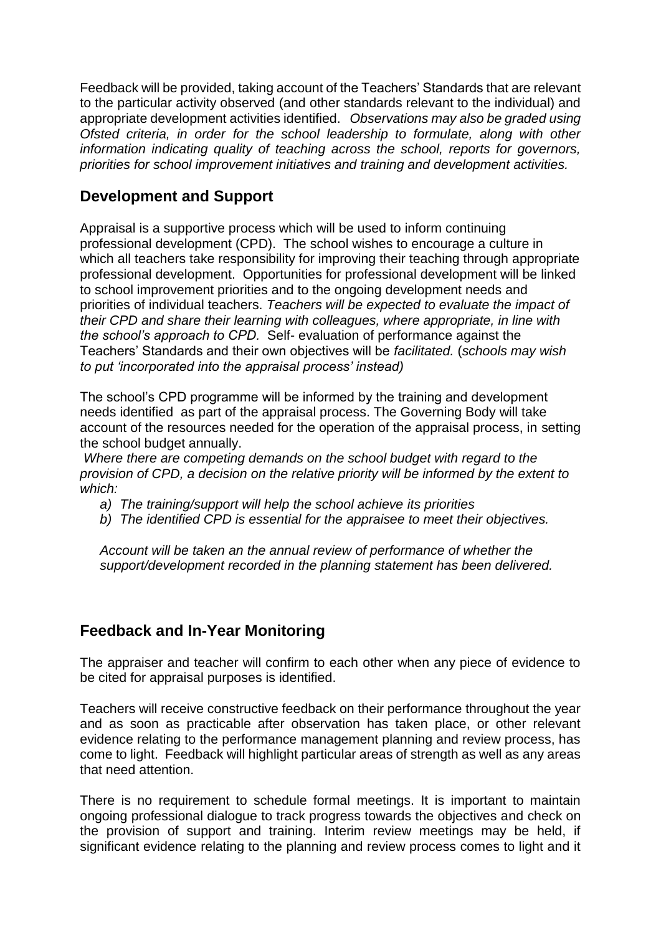Feedback will be provided, taking account of the Teachers' Standards that are relevant to the particular activity observed (and other standards relevant to the individual) and appropriate development activities identified. *Observations may also be graded using Ofsted criteria, in order for the school leadership to formulate, along with other information indicating quality of teaching across the school, reports for governors, priorities for school improvement initiatives and training and development activities.* 

## **Development and Support**

Appraisal is a supportive process which will be used to inform continuing professional development (CPD). The school wishes to encourage a culture in which all teachers take responsibility for improving their teaching through appropriate professional development. Opportunities for professional development will be linked to school improvement priorities and to the ongoing development needs and priorities of individual teachers. *Teachers will be expected to evaluate the impact of their CPD and share their learning with colleagues, where appropriate, in line with the school's approach to CPD.* Self- evaluation of performance against the Teachers' Standards and their own objectives will be *facilitated.* (*schools may wish to put 'incorporated into the appraisal process' instead)*

The school's CPD programme will be informed by the training and development needs identified as part of the appraisal process. The Governing Body will take account of the resources needed for the operation of the appraisal process, in setting the school budget annually.

*Where there are competing demands on the school budget with regard to the provision of CPD, a decision on the relative priority will be informed by the extent to which:*

- *a) The training/support will help the school achieve its priorities*
- *b) The identified CPD is essential for the appraisee to meet their objectives.*

*Account will be taken an the annual review of performance of whether the support/development recorded in the planning statement has been delivered.*

## **Feedback and In-Year Monitoring**

The appraiser and teacher will confirm to each other when any piece of evidence to be cited for appraisal purposes is identified.

Teachers will receive constructive feedback on their performance throughout the year and as soon as practicable after observation has taken place, or other relevant evidence relating to the performance management planning and review process, has come to light. Feedback will highlight particular areas of strength as well as any areas that need attention.

There is no requirement to schedule formal meetings. It is important to maintain ongoing professional dialogue to track progress towards the objectives and check on the provision of support and training. Interim review meetings may be held, if significant evidence relating to the planning and review process comes to light and it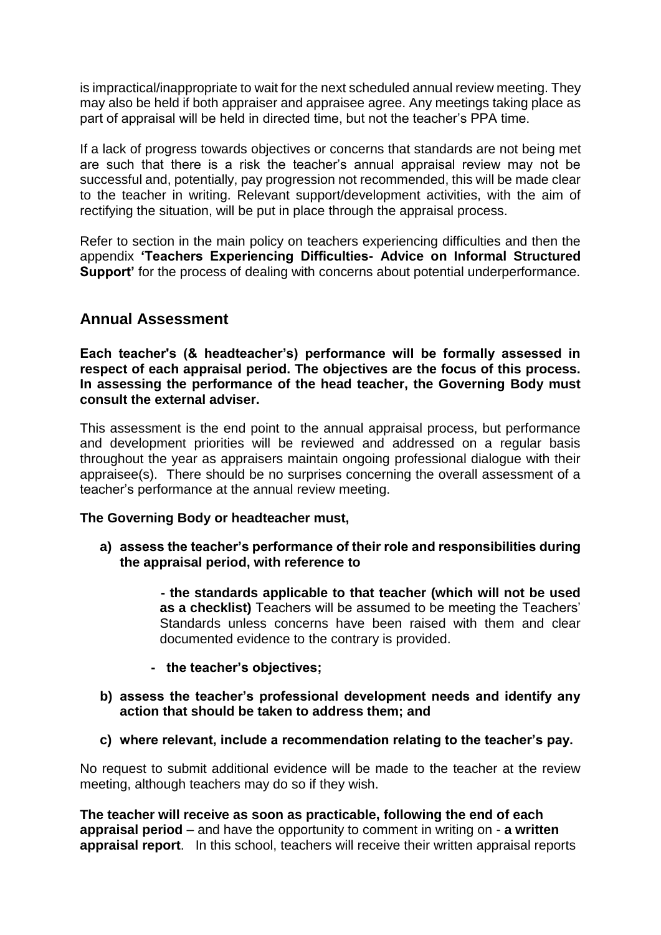is impractical/inappropriate to wait for the next scheduled annual review meeting. They may also be held if both appraiser and appraisee agree. Any meetings taking place as part of appraisal will be held in directed time, but not the teacher's PPA time.

If a lack of progress towards objectives or concerns that standards are not being met are such that there is a risk the teacher's annual appraisal review may not be successful and, potentially, pay progression not recommended, this will be made clear to the teacher in writing. Relevant support/development activities, with the aim of rectifying the situation, will be put in place through the appraisal process.

Refer to section in the main policy on teachers experiencing difficulties and then the appendix **'Teachers Experiencing Difficulties- Advice on Informal Structured Support'** for the process of dealing with concerns about potential underperformance.

## **Annual Assessment**

**Each teacher's (& headteacher's) performance will be formally assessed in respect of each appraisal period. The objectives are the focus of this process. In assessing the performance of the head teacher, the Governing Body must consult the external adviser.**

This assessment is the end point to the annual appraisal process, but performance and development priorities will be reviewed and addressed on a regular basis throughout the year as appraisers maintain ongoing professional dialogue with their appraisee(s). There should be no surprises concerning the overall assessment of a teacher's performance at the annual review meeting.

## **The Governing Body or headteacher must,**

- **a) assess the teacher's performance of their role and responsibilities during the appraisal period, with reference to** 
	- **- the standards applicable to that teacher (which will not be used as a checklist)** Teachers will be assumed to be meeting the Teachers' Standards unless concerns have been raised with them and clear documented evidence to the contrary is provided.
	- **the teacher's objectives;**
- **b) assess the teacher's professional development needs and identify any action that should be taken to address them; and**
- **c) where relevant, include a recommendation relating to the teacher's pay.**

No request to submit additional evidence will be made to the teacher at the review meeting, although teachers may do so if they wish.

**The teacher will receive as soon as practicable, following the end of each appraisal period** – and have the opportunity to comment in writing on - **a written appraisal report**. In this school, teachers will receive their written appraisal reports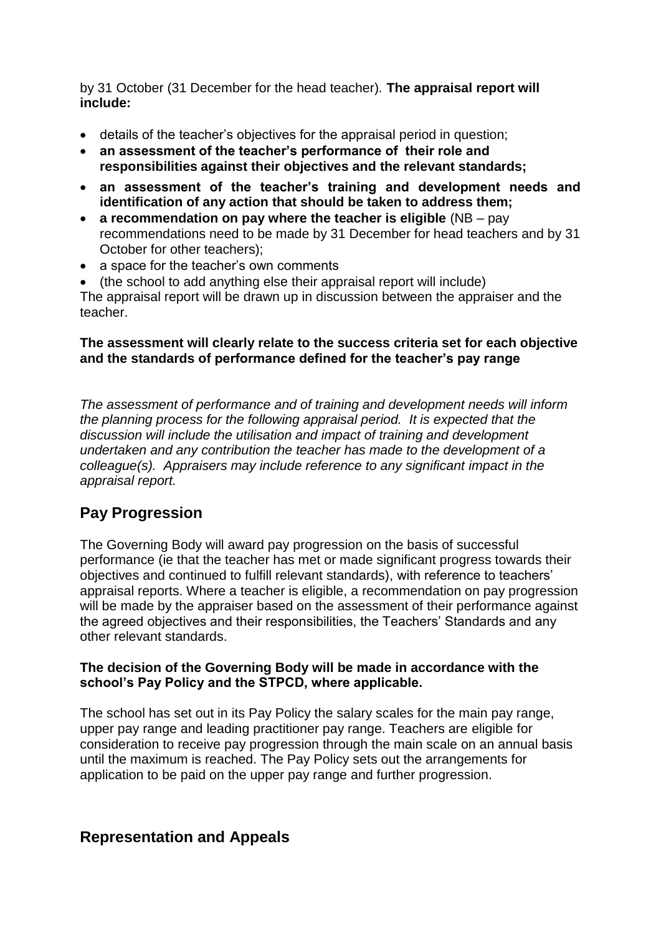by 31 October (31 December for the head teacher)*.* **The appraisal report will include:**

- details of the teacher's objectives for the appraisal period in question;
- **an assessment of the teacher's performance of their role and responsibilities against their objectives and the relevant standards;**
- **an assessment of the teacher's training and development needs and identification of any action that should be taken to address them;**
- **a recommendation on pay where the teacher is eligible** (NB pay recommendations need to be made by 31 December for head teachers and by 31 October for other teachers);
- a space for the teacher's own comments
- (the school to add anything else their appraisal report will include)

The appraisal report will be drawn up in discussion between the appraiser and the teacher.

## **The assessment will clearly relate to the success criteria set for each objective and the standards of performance defined for the teacher's pay range**

*The assessment of performance and of training and development needs will inform the planning process for the following appraisal period. It is expected that the discussion will include the utilisation and impact of training and development undertaken and any contribution the teacher has made to the development of a colleague(s). Appraisers may include reference to any significant impact in the appraisal report.* 

## **Pay Progression**

The Governing Body will award pay progression on the basis of successful performance (ie that the teacher has met or made significant progress towards their objectives and continued to fulfill relevant standards), with reference to teachers' appraisal reports. Where a teacher is eligible, a recommendation on pay progression will be made by the appraiser based on the assessment of their performance against the agreed objectives and their responsibilities, the Teachers' Standards and any other relevant standards.

## **The decision of the Governing Body will be made in accordance with the school's Pay Policy and the STPCD, where applicable.**

The school has set out in its Pay Policy the salary scales for the main pay range, upper pay range and leading practitioner pay range. Teachers are eligible for consideration to receive pay progression through the main scale on an annual basis until the maximum is reached. The Pay Policy sets out the arrangements for application to be paid on the upper pay range and further progression.

## **Representation and Appeals**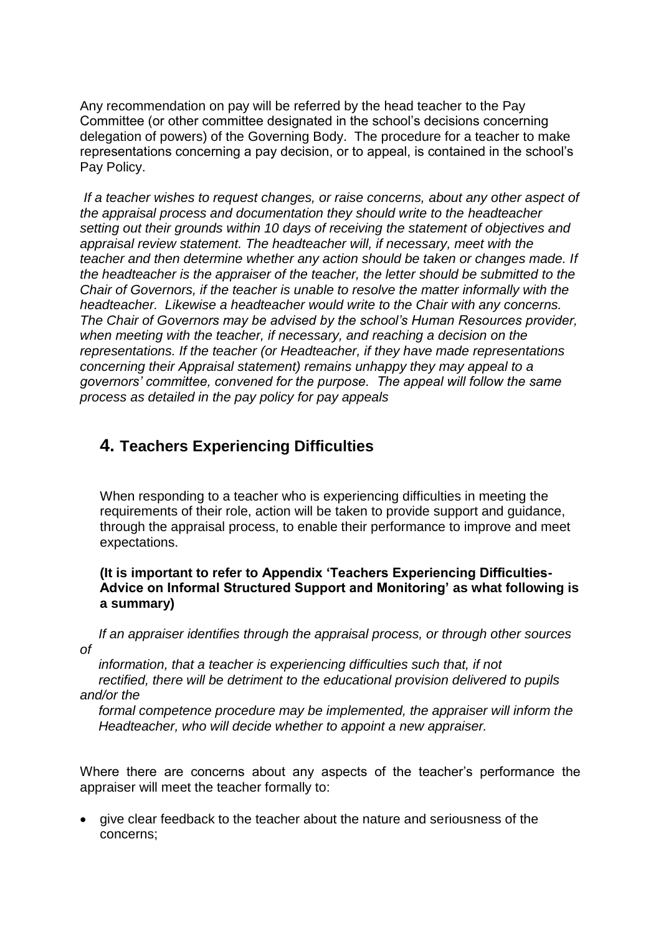Any recommendation on pay will be referred by the head teacher to the Pay Committee (or other committee designated in the school's decisions concerning delegation of powers) of the Governing Body. The procedure for a teacher to make representations concerning a pay decision, or to appeal, is contained in the school's Pay Policy.

*If a teacher wishes to request changes, or raise concerns, about any other aspect of the appraisal process and documentation they should write to the headteacher setting out their grounds within 10 days of receiving the statement of objectives and appraisal review statement. The headteacher will, if necessary, meet with the teacher and then determine whether any action should be taken or changes made. If the headteacher is the appraiser of the teacher, the letter should be submitted to the Chair of Governors, if the teacher is unable to resolve the matter informally with the headteacher. Likewise a headteacher would write to the Chair with any concerns. The Chair of Governors may be advised by the school's Human Resources provider, when meeting with the teacher, if necessary, and reaching a decision on the representations. If the teacher (or Headteacher, if they have made representations concerning their Appraisal statement) remains unhappy they may appeal to a governors' committee, convened for the purpose. The appeal will follow the same process as detailed in the pay policy for pay appeals*

## **4. Teachers Experiencing Difficulties**

When responding to a teacher who is experiencing difficulties in meeting the requirements of their role, action will be taken to provide support and guidance, through the appraisal process, to enable their performance to improve and meet expectations.

## **(It is important to refer to Appendix 'Teachers Experiencing Difficulties-Advice on Informal Structured Support and Monitoring' as what following is a summary)**

 *If an appraiser identifies through the appraisal process, or through other sources of*

 *information, that a teacher is experiencing difficulties such that, if not rectified, there will be detriment to the educational provision delivered to pupils and/or the*

 *formal competence procedure may be implemented, the appraiser will inform the Headteacher, who will decide whether to appoint a new appraiser.* 

Where there are concerns about any aspects of the teacher's performance the appraiser will meet the teacher formally to:

• give clear feedback to the teacher about the nature and seriousness of the concerns;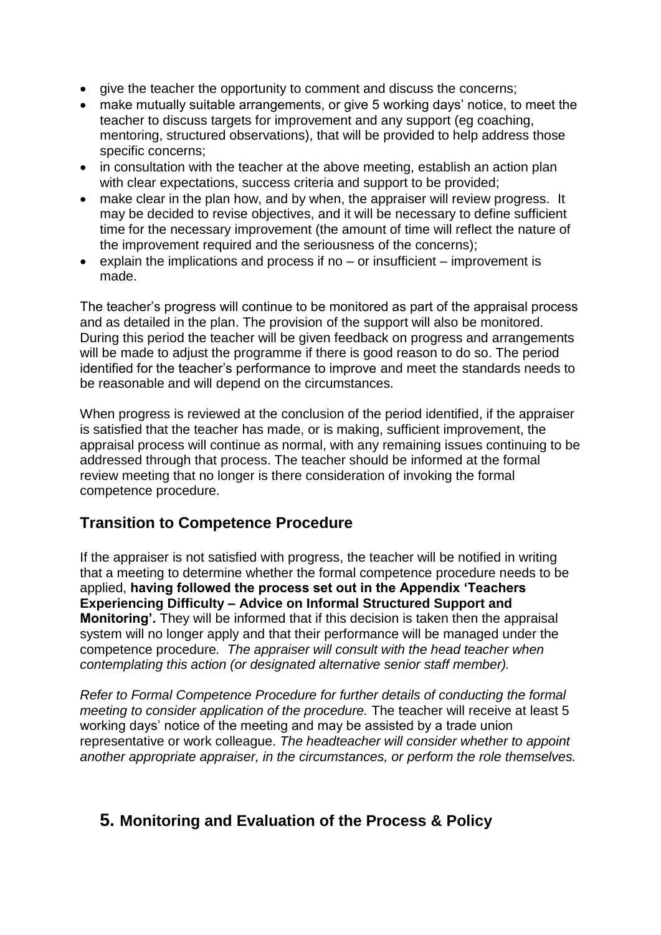- give the teacher the opportunity to comment and discuss the concerns;
- make mutually suitable arrangements, or give 5 working days' notice, to meet the teacher to discuss targets for improvement and any support (eg coaching, mentoring, structured observations), that will be provided to help address those specific concerns;
- in consultation with the teacher at the above meeting, establish an action plan with clear expectations, success criteria and support to be provided;
- make clear in the plan how, and by when, the appraiser will review progress. It may be decided to revise objectives, and it will be necessary to define sufficient time for the necessary improvement (the amount of time will reflect the nature of the improvement required and the seriousness of the concerns);
- explain the implications and process if no  $-$  or insufficient  $-$  improvement is made.

The teacher's progress will continue to be monitored as part of the appraisal process and as detailed in the plan. The provision of the support will also be monitored. During this period the teacher will be given feedback on progress and arrangements will be made to adjust the programme if there is good reason to do so. The period identified for the teacher's performance to improve and meet the standards needs to be reasonable and will depend on the circumstances.

When progress is reviewed at the conclusion of the period identified, if the appraiser is satisfied that the teacher has made, or is making, sufficient improvement, the appraisal process will continue as normal, with any remaining issues continuing to be addressed through that process. The teacher should be informed at the formal review meeting that no longer is there consideration of invoking the formal competence procedure.

## **Transition to Competence Procedure**

If the appraiser is not satisfied with progress, the teacher will be notified in writing that a meeting to determine whether the formal competence procedure needs to be applied, **having followed the process set out in the Appendix 'Teachers Experiencing Difficulty – Advice on Informal Structured Support and Monitoring'.** They will be informed that if this decision is taken then the appraisal system will no longer apply and that their performance will be managed under the competence procedure*. The appraiser will consult with the head teacher when contemplating this action (or designated alternative senior staff member).* 

*Refer to Formal Competence Procedure for further details of conducting the formal meeting to consider application of the procedure.* The teacher will receive at least 5 working days' notice of the meeting and may be assisted by a trade union representative or work colleague. *The headteacher will consider whether to appoint another appropriate appraiser, in the circumstances, or perform the role themselves.*

## **5. Monitoring and Evaluation of the Process & Policy**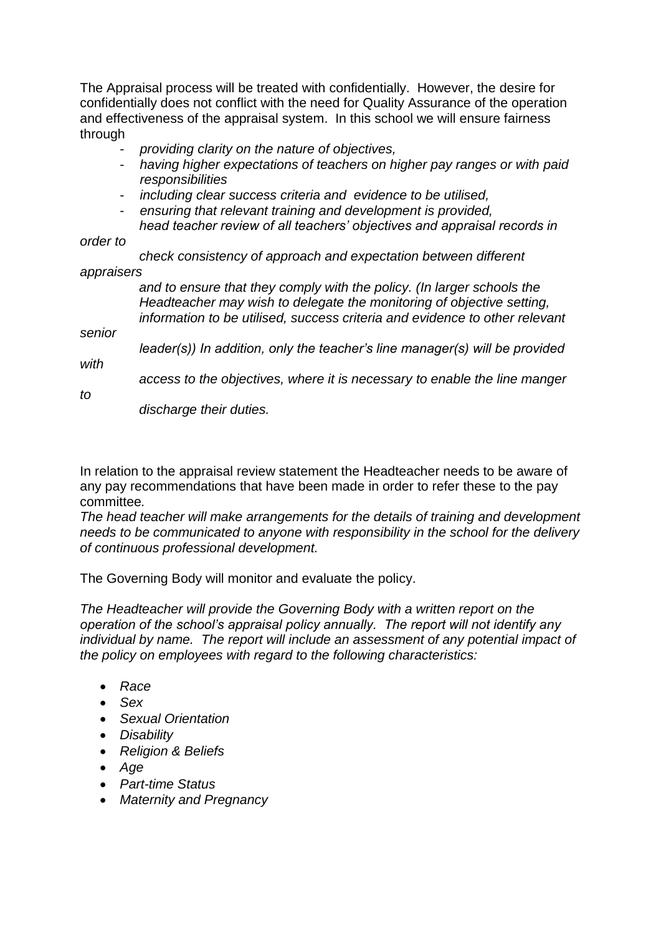The Appraisal process will be treated with confidentially. However, the desire for confidentially does not conflict with the need for Quality Assurance of the operation and effectiveness of the appraisal system. In this school we will ensure fairness through

- *providing clarity on the nature of objectives,*
- *having higher expectations of teachers on higher pay ranges or with paid responsibilities*
- *including clear success criteria and evidence to be utilised,*
- *ensuring that relevant training and development is provided, head teacher review of all teachers' objectives and appraisal records in*

*order to*

 *check consistency of approach and expectation between different appraisers*

> *and to ensure that they comply with the policy. (In larger schools the Headteacher may wish to delegate the monitoring of objective setting, information to be utilised, success criteria and evidence to other relevant*

*senior*

 *leader(s)) In addition, only the teacher's line manager(s) will be provided with*

 *access to the objectives, where it is necessary to enable the line manger* 

*to*

 *discharge their duties.* 

In relation to the appraisal review statement the Headteacher needs to be aware of any pay recommendations that have been made in order to refer these to the pay committee*.* 

*The head teacher will make arrangements for the details of training and development needs to be communicated to anyone with responsibility in the school for the delivery of continuous professional development.*

The Governing Body will monitor and evaluate the policy.

*The Headteacher will provide the Governing Body with a written report on the operation of the school's appraisal policy annually. The report will not identify any individual by name. The report will include an assessment of any potential impact of the policy on employees with regard to the following characteristics:*

- *Race*
- *Sex*
- *Sexual Orientation*
- *Disability*
- *Religion & Beliefs*
- *Age*
- *Part-time Status*
- *Maternity and Pregnancy*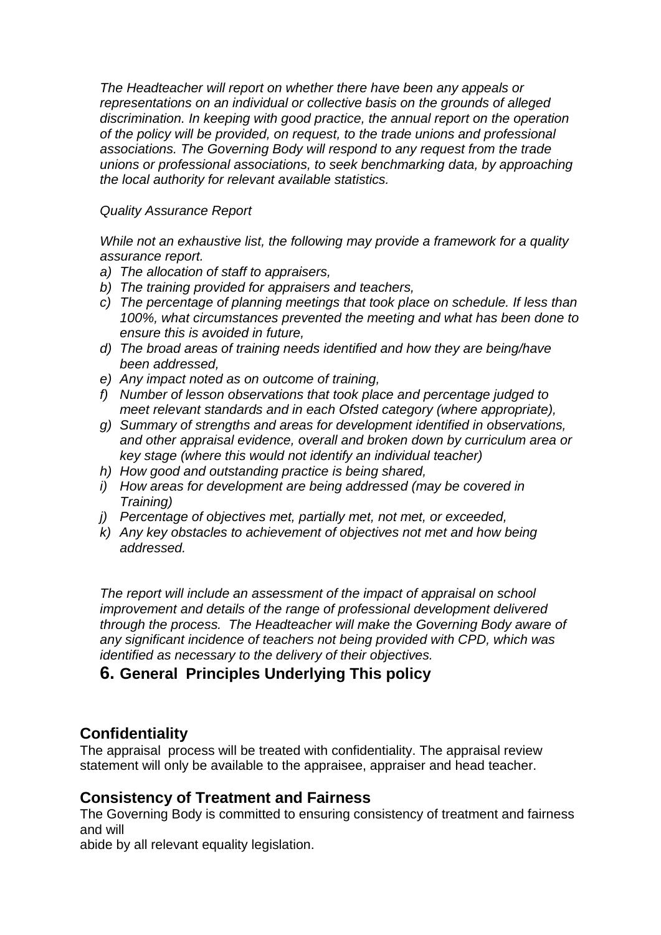*The Headteacher will report on whether there have been any appeals or representations on an individual or collective basis on the grounds of alleged discrimination. In keeping with good practice, the annual report on the operation of the policy will be provided, on request, to the trade unions and professional associations. The Governing Body will respond to any request from the trade unions or professional associations, to seek benchmarking data, by approaching the local authority for relevant available statistics.*

## *Quality Assurance Report*

*While not an exhaustive list, the following may provide a framework for a quality assurance report.*

- *a) The allocation of staff to appraisers,*
- *b) The training provided for appraisers and teachers,*
- *c) The percentage of planning meetings that took place on schedule. If less than 100%, what circumstances prevented the meeting and what has been done to ensure this is avoided in future,*
- *d) The broad areas of training needs identified and how they are being/have been addressed,*
- *e) Any impact noted as on outcome of training,*
- *f) Number of lesson observations that took place and percentage judged to meet relevant standards and in each Ofsted category (where appropriate),*
- *g) Summary of strengths and areas for development identified in observations, and other appraisal evidence, overall and broken down by curriculum area or key stage (where this would not identify an individual teacher)*
- *h) How good and outstanding practice is being shared,*
- *i) How areas for development are being addressed (may be covered in Training)*
- *j) Percentage of objectives met, partially met, not met, or exceeded,*
- *k) Any key obstacles to achievement of objectives not met and how being addressed.*

*The report will include an assessment of the impact of appraisal on school improvement and details of the range of professional development delivered through the process. The Headteacher will make the Governing Body aware of any significant incidence of teachers not being provided with CPD, which was identified as necessary to the delivery of their objectives.*

## **6. General Principles Underlying This policy**

## **Confidentiality**

The appraisal process will be treated with confidentiality. The appraisal review statement will only be available to the appraisee, appraiser and head teacher.

## **Consistency of Treatment and Fairness**

The Governing Body is committed to ensuring consistency of treatment and fairness and will

abide by all relevant equality legislation.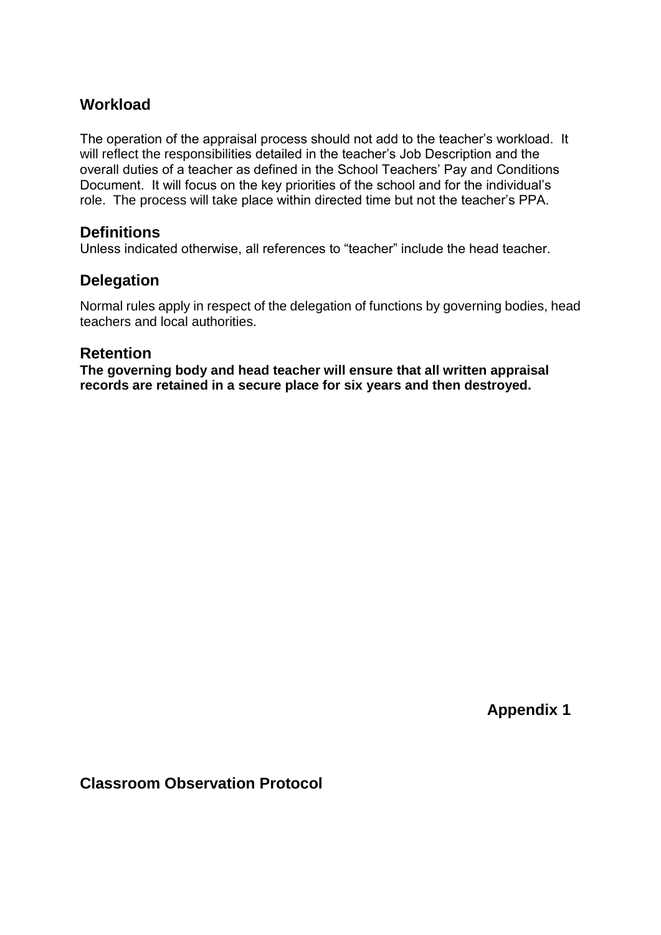## **Workload**

The operation of the appraisal process should not add to the teacher's workload. It will reflect the responsibilities detailed in the teacher's Job Description and the overall duties of a teacher as defined in the School Teachers' Pay and Conditions Document. It will focus on the key priorities of the school and for the individual's role. The process will take place within directed time but not the teacher's PPA.

## **Definitions**

Unless indicated otherwise, all references to "teacher" include the head teacher.

## **Delegation**

Normal rules apply in respect of the delegation of functions by governing bodies, head teachers and local authorities.

## **Retention**

**The governing body and head teacher will ensure that all written appraisal records are retained in a secure place for six years and then destroyed.** 

**Appendix 1**

**Classroom Observation Protocol**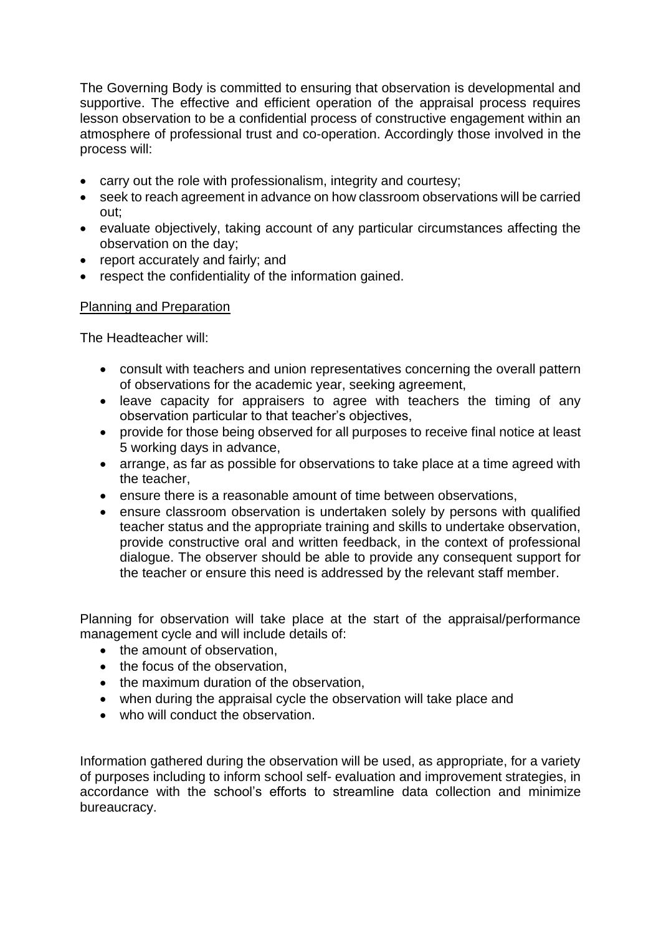The Governing Body is committed to ensuring that observation is developmental and supportive. The effective and efficient operation of the appraisal process requires lesson observation to be a confidential process of constructive engagement within an atmosphere of professional trust and co-operation. Accordingly those involved in the process will:

- carry out the role with professionalism, integrity and courtesy;
- seek to reach agreement in advance on how classroom observations will be carried out;
- evaluate objectively, taking account of any particular circumstances affecting the observation on the day;
- report accurately and fairly; and
- respect the confidentiality of the information gained.

## Planning and Preparation

The Headteacher will:

- consult with teachers and union representatives concerning the overall pattern of observations for the academic year, seeking agreement,
- leave capacity for appraisers to agree with teachers the timing of any observation particular to that teacher's objectives,
- provide for those being observed for all purposes to receive final notice at least 5 working days in advance,
- arrange, as far as possible for observations to take place at a time agreed with the teacher,
- ensure there is a reasonable amount of time between observations,
- ensure classroom observation is undertaken solely by persons with qualified teacher status and the appropriate training and skills to undertake observation, provide constructive oral and written feedback, in the context of professional dialogue. The observer should be able to provide any consequent support for the teacher or ensure this need is addressed by the relevant staff member.

Planning for observation will take place at the start of the appraisal/performance management cycle and will include details of:

- the amount of observation.
- the focus of the observation,
- the maximum duration of the observation,
- when during the appraisal cycle the observation will take place and
- who will conduct the observation.

Information gathered during the observation will be used, as appropriate, for a variety of purposes including to inform school self- evaluation and improvement strategies, in accordance with the school's efforts to streamline data collection and minimize bureaucracy.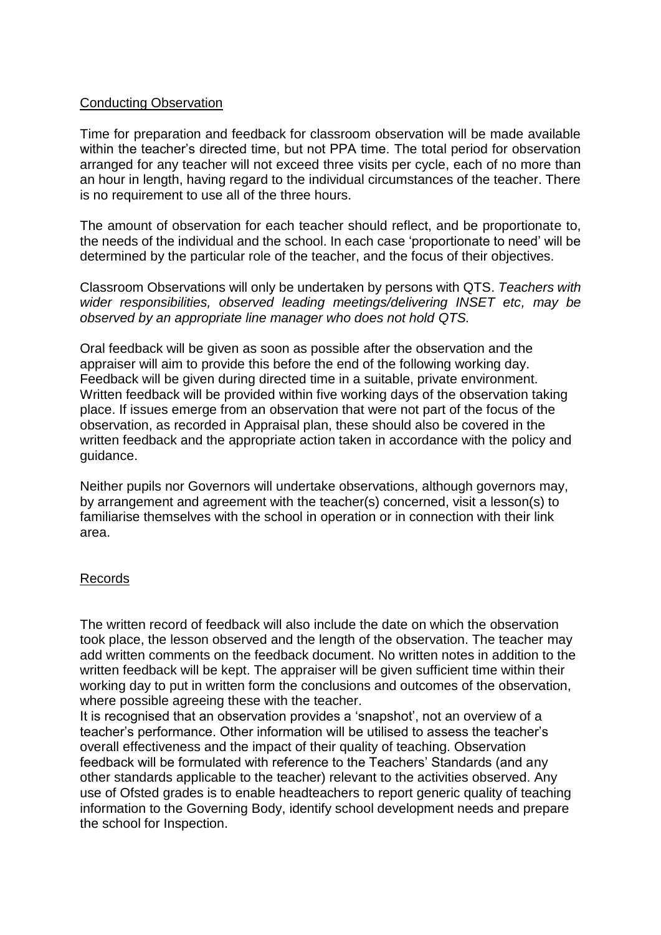## Conducting Observation

Time for preparation and feedback for classroom observation will be made available within the teacher's directed time, but not PPA time. The total period for observation arranged for any teacher will not exceed three visits per cycle, each of no more than an hour in length, having regard to the individual circumstances of the teacher. There is no requirement to use all of the three hours.

The amount of observation for each teacher should reflect, and be proportionate to, the needs of the individual and the school. In each case 'proportionate to need' will be determined by the particular role of the teacher, and the focus of their objectives.

Classroom Observations will only be undertaken by persons with QTS. *Teachers with wider responsibilities, observed leading meetings/delivering INSET etc, may be observed by an appropriate line manager who does not hold QTS.*

Oral feedback will be given as soon as possible after the observation and the appraiser will aim to provide this before the end of the following working day. Feedback will be given during directed time in a suitable, private environment. Written feedback will be provided within five working days of the observation taking place. If issues emerge from an observation that were not part of the focus of the observation, as recorded in Appraisal plan, these should also be covered in the written feedback and the appropriate action taken in accordance with the policy and guidance.

Neither pupils nor Governors will undertake observations, although governors may, by arrangement and agreement with the teacher(s) concerned, visit a lesson(s) to familiarise themselves with the school in operation or in connection with their link area.

## Records

The written record of feedback will also include the date on which the observation took place, the lesson observed and the length of the observation. The teacher may add written comments on the feedback document. No written notes in addition to the written feedback will be kept. The appraiser will be given sufficient time within their working day to put in written form the conclusions and outcomes of the observation, where possible agreeing these with the teacher.

It is recognised that an observation provides a 'snapshot', not an overview of a teacher's performance. Other information will be utilised to assess the teacher's overall effectiveness and the impact of their quality of teaching. Observation feedback will be formulated with reference to the Teachers' Standards (and any other standards applicable to the teacher) relevant to the activities observed. Any use of Ofsted grades is to enable headteachers to report generic quality of teaching information to the Governing Body, identify school development needs and prepare the school for Inspection.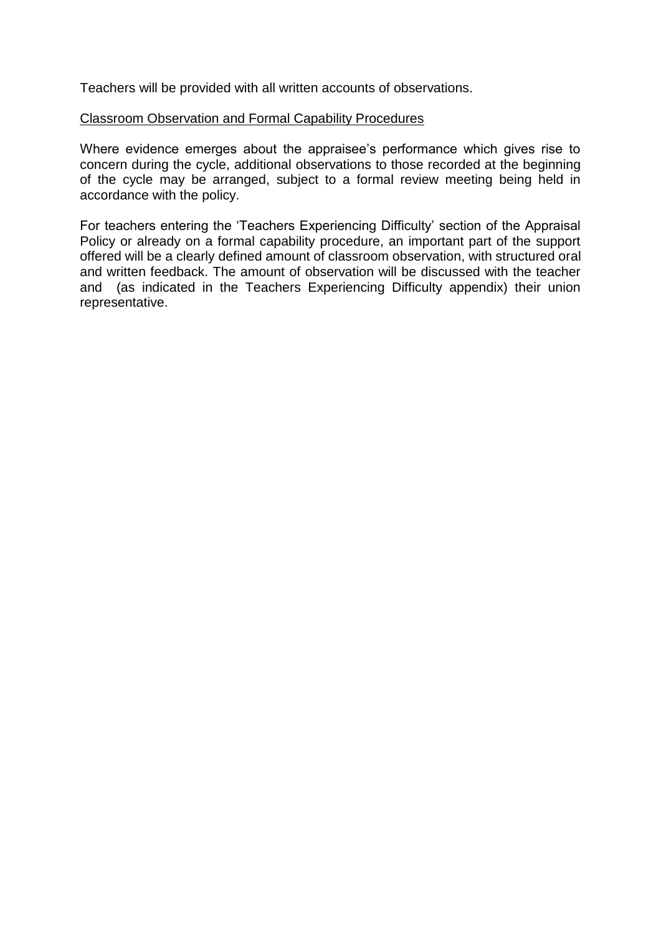Teachers will be provided with all written accounts of observations.

#### Classroom Observation and Formal Capability Procedures

Where evidence emerges about the appraisee's performance which gives rise to concern during the cycle, additional observations to those recorded at the beginning of the cycle may be arranged, subject to a formal review meeting being held in accordance with the policy.

For teachers entering the 'Teachers Experiencing Difficulty' section of the Appraisal Policy or already on a formal capability procedure, an important part of the support offered will be a clearly defined amount of classroom observation, with structured oral and written feedback. The amount of observation will be discussed with the teacher and (as indicated in the Teachers Experiencing Difficulty appendix) their union representative.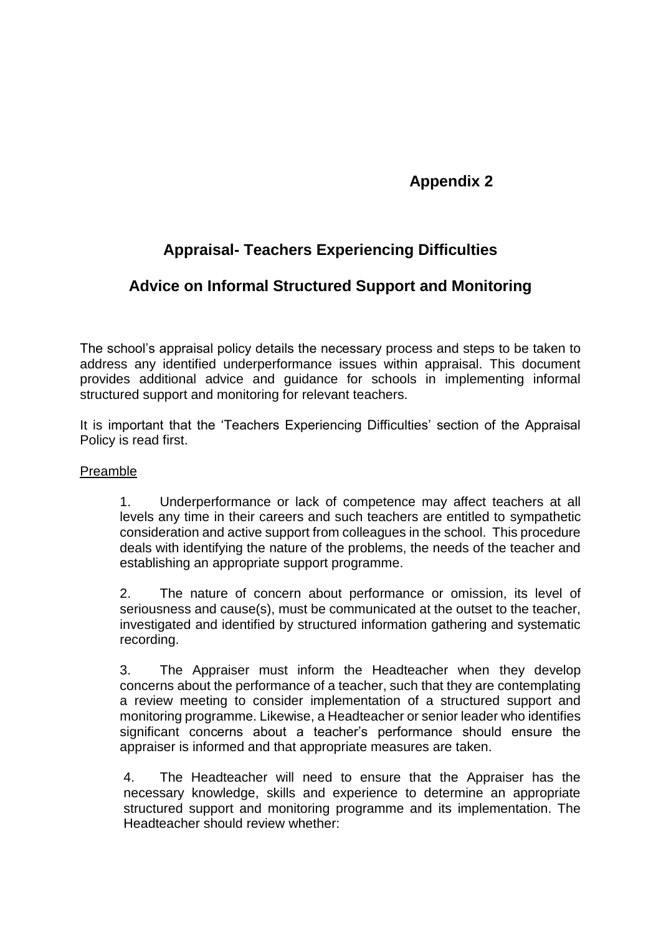## **Appendix 2**

## **Appraisal- Teachers Experiencing Difficulties**

## **Advice on Informal Structured Support and Monitoring**

The school's appraisal policy details the necessary process and steps to be taken to address any identified underperformance issues within appraisal. This document provides additional advice and guidance for schools in implementing informal structured support and monitoring for relevant teachers.

It is important that the 'Teachers Experiencing Difficulties' section of the Appraisal Policy is read first.

#### Preamble

1. Underperformance or lack of competence may affect teachers at all levels any time in their careers and such teachers are entitled to sympathetic consideration and active support from colleagues in the school. This procedure deals with identifying the nature of the problems, the needs of the teacher and establishing an appropriate support programme.

2. The nature of concern about performance or omission, its level of seriousness and cause(s), must be communicated at the outset to the teacher, investigated and identified by structured information gathering and systematic recording.

3. The Appraiser must inform the Headteacher when they develop concerns about the performance of a teacher, such that they are contemplating a review meeting to consider implementation of a structured support and monitoring programme. Likewise, a Headteacher or senior leader who identifies significant concerns about a teacher's performance should ensure the appraiser is informed and that appropriate measures are taken.

4. The Headteacher will need to ensure that the Appraiser has the necessary knowledge, skills and experience to determine an appropriate structured support and monitoring programme and its implementation. The Headteacher should review whether: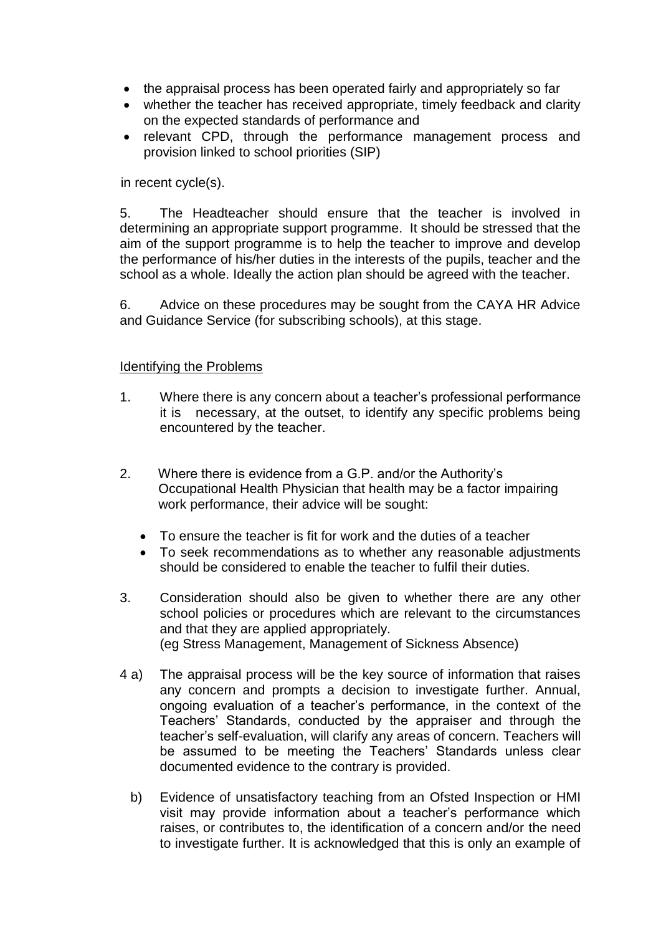- the appraisal process has been operated fairly and appropriately so far
- whether the teacher has received appropriate, timely feedback and clarity on the expected standards of performance and
- relevant CPD, through the performance management process and provision linked to school priorities (SIP)

in recent cycle(s).

5. The Headteacher should ensure that the teacher is involved in determining an appropriate support programme. It should be stressed that the aim of the support programme is to help the teacher to improve and develop the performance of his/her duties in the interests of the pupils, teacher and the school as a whole. Ideally the action plan should be agreed with the teacher.

6. Advice on these procedures may be sought from the CAYA HR Advice and Guidance Service (for subscribing schools), at this stage.

## Identifying the Problems

- 1. Where there is any concern about a teacher's professional performance it is necessary, at the outset, to identify any specific problems being encountered by the teacher.
- 2. Where there is evidence from a G.P. and/or the Authority's Occupational Health Physician that health may be a factor impairing work performance, their advice will be sought:
	- To ensure the teacher is fit for work and the duties of a teacher
	- To seek recommendations as to whether any reasonable adjustments should be considered to enable the teacher to fulfil their duties.
- 3. Consideration should also be given to whether there are any other school policies or procedures which are relevant to the circumstances and that they are applied appropriately. (eg Stress Management, Management of Sickness Absence)
- 4 a) The appraisal process will be the key source of information that raises any concern and prompts a decision to investigate further. Annual, ongoing evaluation of a teacher's performance, in the context of the Teachers' Standards, conducted by the appraiser and through the teacher's self-evaluation, will clarify any areas of concern. Teachers will be assumed to be meeting the Teachers' Standards unless clear documented evidence to the contrary is provided.
	- b) Evidence of unsatisfactory teaching from an Ofsted Inspection or HMI visit may provide information about a teacher's performance which raises, or contributes to, the identification of a concern and/or the need to investigate further. It is acknowledged that this is only an example of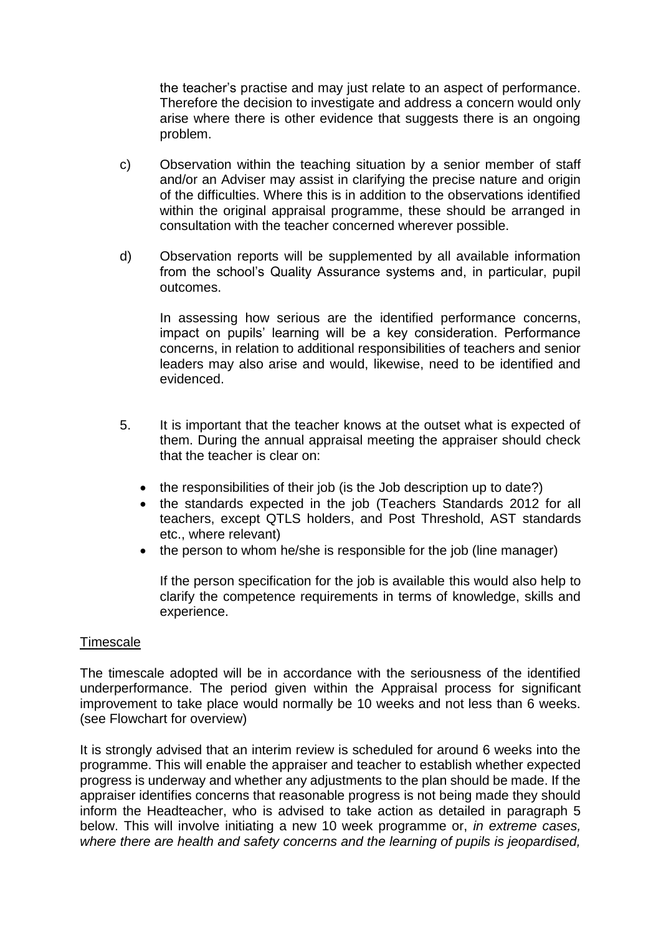the teacher's practise and may just relate to an aspect of performance. Therefore the decision to investigate and address a concern would only arise where there is other evidence that suggests there is an ongoing problem.

- c) Observation within the teaching situation by a senior member of staff and/or an Adviser may assist in clarifying the precise nature and origin of the difficulties. Where this is in addition to the observations identified within the original appraisal programme, these should be arranged in consultation with the teacher concerned wherever possible.
- d) Observation reports will be supplemented by all available information from the school's Quality Assurance systems and, in particular, pupil outcomes.

In assessing how serious are the identified performance concerns, impact on pupils' learning will be a key consideration. Performance concerns, in relation to additional responsibilities of teachers and senior leaders may also arise and would, likewise, need to be identified and evidenced.

- 5. It is important that the teacher knows at the outset what is expected of them. During the annual appraisal meeting the appraiser should check that the teacher is clear on:
	- the responsibilities of their job (is the Job description up to date?)
	- the standards expected in the job (Teachers Standards 2012 for all teachers, except QTLS holders, and Post Threshold, AST standards etc., where relevant)
	- the person to whom he/she is responsible for the job (line manager)

If the person specification for the job is available this would also help to clarify the competence requirements in terms of knowledge, skills and experience.

## **Timescale**

The timescale adopted will be in accordance with the seriousness of the identified underperformance. The period given within the Appraisal process for significant improvement to take place would normally be 10 weeks and not less than 6 weeks. (see Flowchart for overview)

It is strongly advised that an interim review is scheduled for around 6 weeks into the programme. This will enable the appraiser and teacher to establish whether expected progress is underway and whether any adjustments to the plan should be made. If the appraiser identifies concerns that reasonable progress is not being made they should inform the Headteacher, who is advised to take action as detailed in paragraph 5 below. This will involve initiating a new 10 week programme or, *in extreme cases, where there are health and safety concerns and the learning of pupils is jeopardised,*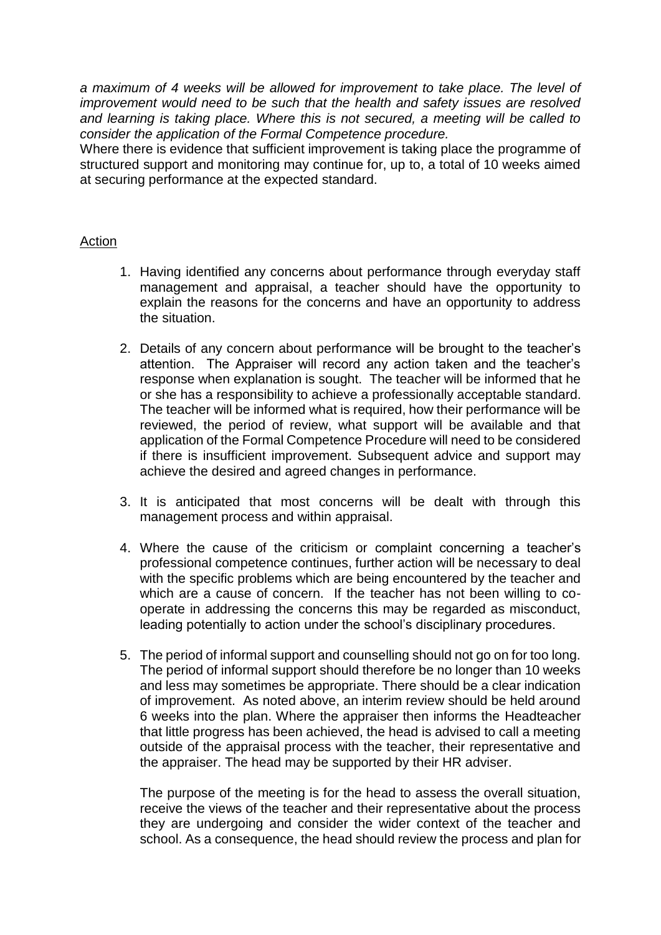*a maximum of 4 weeks will be allowed for improvement to take place. The level of improvement would need to be such that the health and safety issues are resolved and learning is taking place. Where this is not secured, a meeting will be called to consider the application of the Formal Competence procedure.* 

Where there is evidence that sufficient improvement is taking place the programme of structured support and monitoring may continue for, up to, a total of 10 weeks aimed at securing performance at the expected standard.

## Action

- 1. Having identified any concerns about performance through everyday staff management and appraisal, a teacher should have the opportunity to explain the reasons for the concerns and have an opportunity to address the situation.
- 2. Details of any concern about performance will be brought to the teacher's attention. The Appraiser will record any action taken and the teacher's response when explanation is sought. The teacher will be informed that he or she has a responsibility to achieve a professionally acceptable standard. The teacher will be informed what is required, how their performance will be reviewed, the period of review, what support will be available and that application of the Formal Competence Procedure will need to be considered if there is insufficient improvement. Subsequent advice and support may achieve the desired and agreed changes in performance.
- 3. It is anticipated that most concerns will be dealt with through this management process and within appraisal.
- 4. Where the cause of the criticism or complaint concerning a teacher's professional competence continues, further action will be necessary to deal with the specific problems which are being encountered by the teacher and which are a cause of concern. If the teacher has not been willing to cooperate in addressing the concerns this may be regarded as misconduct, leading potentially to action under the school's disciplinary procedures.
- 5. The period of informal support and counselling should not go on for too long. The period of informal support should therefore be no longer than 10 weeks and less may sometimes be appropriate. There should be a clear indication of improvement. As noted above, an interim review should be held around 6 weeks into the plan. Where the appraiser then informs the Headteacher that little progress has been achieved, the head is advised to call a meeting outside of the appraisal process with the teacher, their representative and the appraiser. The head may be supported by their HR adviser.

The purpose of the meeting is for the head to assess the overall situation, receive the views of the teacher and their representative about the process they are undergoing and consider the wider context of the teacher and school. As a consequence, the head should review the process and plan for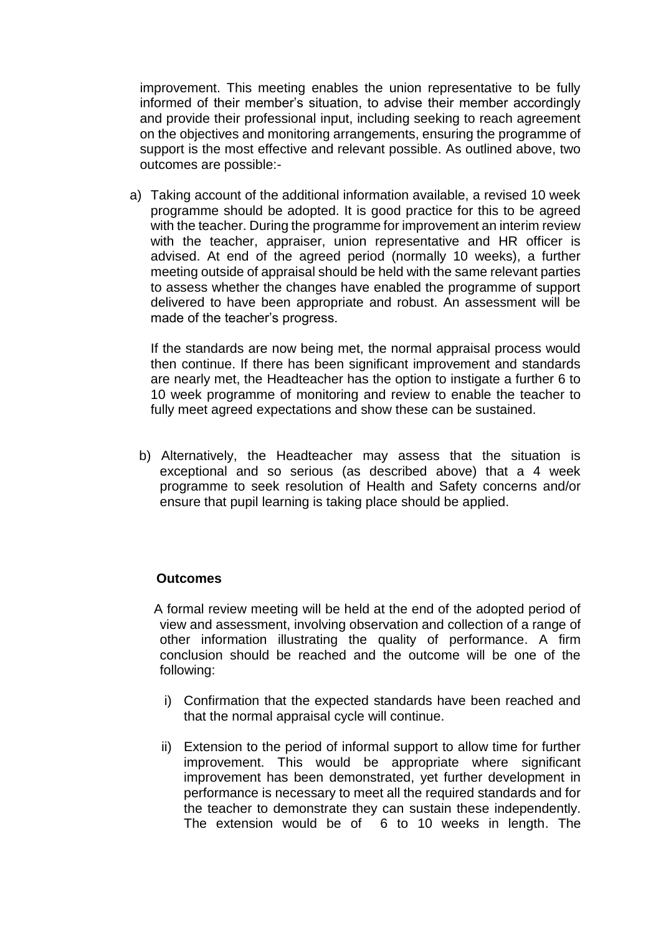improvement. This meeting enables the union representative to be fully informed of their member's situation, to advise their member accordingly and provide their professional input, including seeking to reach agreement on the objectives and monitoring arrangements, ensuring the programme of support is the most effective and relevant possible. As outlined above, two outcomes are possible:-

a) Taking account of the additional information available, a revised 10 week programme should be adopted. It is good practice for this to be agreed with the teacher. During the programme for improvement an interim review with the teacher, appraiser, union representative and HR officer is advised. At end of the agreed period (normally 10 weeks), a further meeting outside of appraisal should be held with the same relevant parties to assess whether the changes have enabled the programme of support delivered to have been appropriate and robust. An assessment will be made of the teacher's progress.

If the standards are now being met, the normal appraisal process would then continue. If there has been significant improvement and standards are nearly met, the Headteacher has the option to instigate a further 6 to 10 week programme of monitoring and review to enable the teacher to fully meet agreed expectations and show these can be sustained.

 b) Alternatively, the Headteacher may assess that the situation is exceptional and so serious (as described above) that a 4 week programme to seek resolution of Health and Safety concerns and/or ensure that pupil learning is taking place should be applied.

#### **Outcomes**

A formal review meeting will be held at the end of the adopted period of view and assessment, involving observation and collection of a range of other information illustrating the quality of performance. A firm conclusion should be reached and the outcome will be one of the following:

- i) Confirmation that the expected standards have been reached and that the normal appraisal cycle will continue.
- ii) Extension to the period of informal support to allow time for further improvement. This would be appropriate where significant improvement has been demonstrated, yet further development in performance is necessary to meet all the required standards and for the teacher to demonstrate they can sustain these independently. The extension would be of 6 to 10 weeks in length. The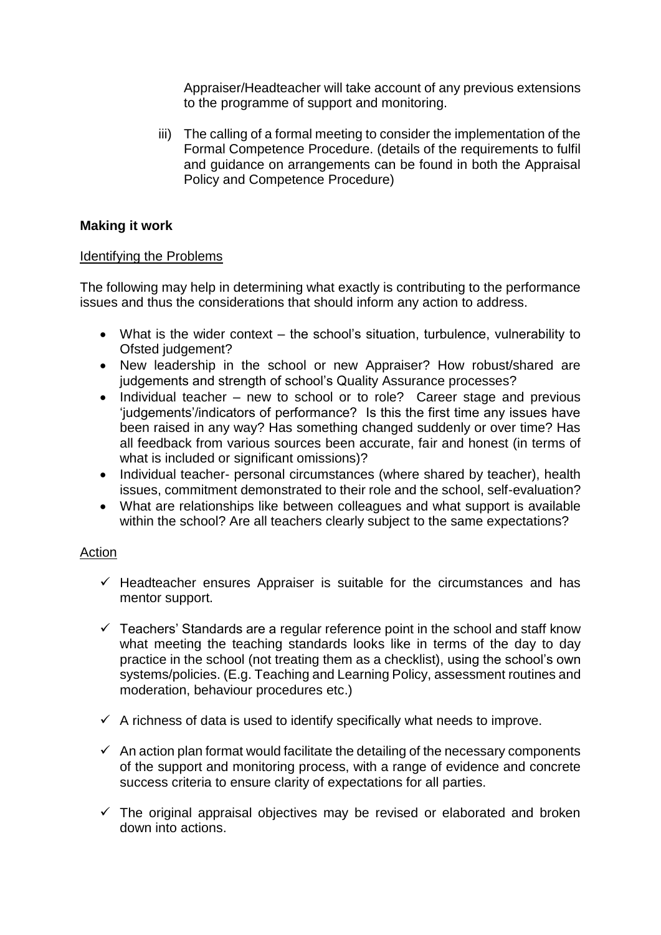Appraiser/Headteacher will take account of any previous extensions to the programme of support and monitoring.

iii) The calling of a formal meeting to consider the implementation of the Formal Competence Procedure. (details of the requirements to fulfil and guidance on arrangements can be found in both the Appraisal Policy and Competence Procedure)

## **Making it work**

## Identifying the Problems

The following may help in determining what exactly is contributing to the performance issues and thus the considerations that should inform any action to address.

- What is the wider context the school's situation, turbulence, vulnerability to Ofsted judgement?
- New leadership in the school or new Appraiser? How robust/shared are judgements and strength of school's Quality Assurance processes?
- Individual teacher new to school or to role? Career stage and previous 'judgements'/indicators of performance? Is this the first time any issues have been raised in any way? Has something changed suddenly or over time? Has all feedback from various sources been accurate, fair and honest (in terms of what is included or significant omissions)?
- Individual teacher- personal circumstances (where shared by teacher), health issues, commitment demonstrated to their role and the school, self-evaluation?
- What are relationships like between colleagues and what support is available within the school? Are all teachers clearly subject to the same expectations?

## Action

- $\checkmark$  Headteacher ensures Appraiser is suitable for the circumstances and has mentor support.
- $\checkmark$  Teachers' Standards are a regular reference point in the school and staff know what meeting the teaching standards looks like in terms of the day to day practice in the school (not treating them as a checklist), using the school's own systems/policies. (E.g. Teaching and Learning Policy, assessment routines and moderation, behaviour procedures etc.)
- $\checkmark$  A richness of data is used to identify specifically what needs to improve.
- $\checkmark$  An action plan format would facilitate the detailing of the necessary components of the support and monitoring process, with a range of evidence and concrete success criteria to ensure clarity of expectations for all parties.
- $\checkmark$  The original appraisal objectives may be revised or elaborated and broken down into actions.